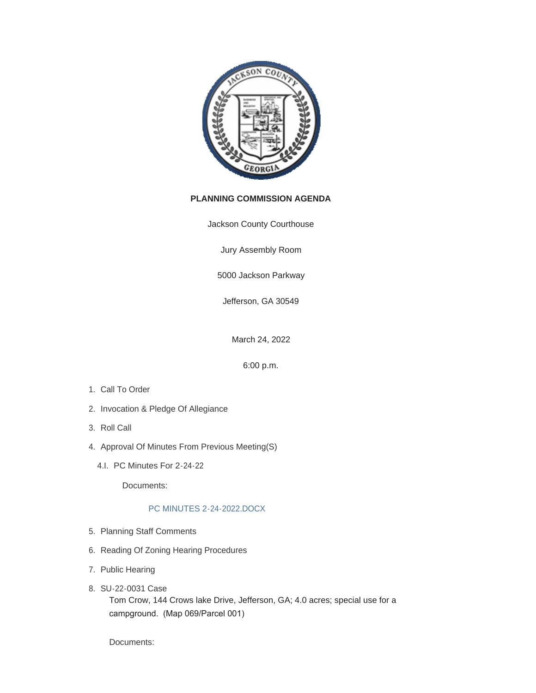

## **PLANNING COMMISSION AGENDA**

Jackson County Courthouse

Jury Assembly Room

5000 Jackson Parkway

Jefferson, GA 30549

March 24, 2022

6:00 p.m.

- 1. Call To Order
- 2. Invocation & Pledge Of Allegiance
- 3. Roll Call
- 4. Approval Of Minutes From Previous Meeting(S)
	- 4.I. PC Minutes For 2-24-22

Documents:

## [PC MINUTES 2-24-2022.DOCX](http://www.jacksoncountygov.com/AgendaCenter/ViewFile/Item/1702?fileID=11854)

- 5. Planning Staff Comments
- 6. Reading Of Zoning Hearing Procedures
- 7. Public Hearing
- SU-22-0031 Case 8.

Tom Crow, 144 Crows lake Drive, Jefferson, GA; 4.0 acres; special use for a campground. (Map 069/Parcel 001)

Documents: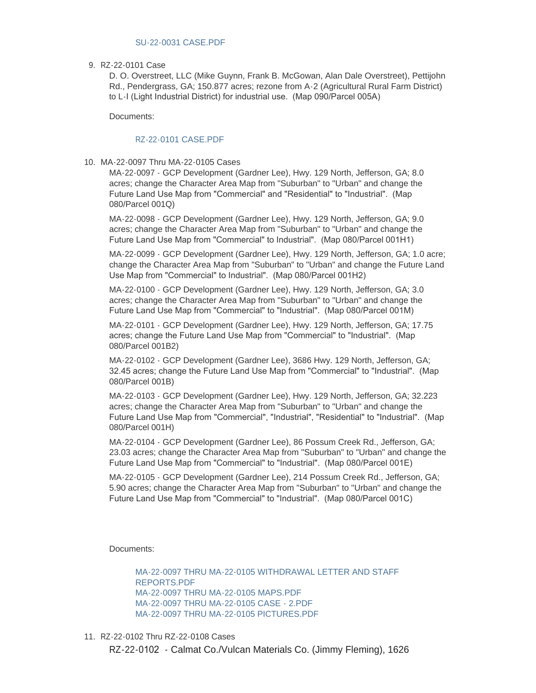RZ-22-0101 Case 9.

D. O. Overstreet, LLC (Mike Guynn, Frank B. McGowan, Alan Dale Overstreet), Pettijohn Rd., Pendergrass, GA; 150.877 acres; rezone from A-2 (Agricultural Rural Farm District) to L-I (Light Industrial District) for industrial use. (Map 090/Parcel 005A)

Documents:

## [RZ-22-0101 CASE.PDF](http://www.jacksoncountygov.com/AgendaCenter/ViewFile/Item/1717?fileID=12357)

MA-22-0097 Thru MA-22-0105 Cases 10.

MA-22-0097 - GCP Development (Gardner Lee), Hwy. 129 North, Jefferson, GA; 8.0 acres; change the Character Area Map from "Suburban" to "Urban" and change the Future Land Use Map from "Commercial" and "Residential" to "Industrial". (Map 080/Parcel 001Q)

MA-22-0098 - GCP Development (Gardner Lee), Hwy. 129 North, Jefferson, GA; 9.0 acres; change the Character Area Map from "Suburban" to "Urban" and change the Future Land Use Map from "Commercial" to Industrial". (Map 080/Parcel 001H1)

MA-22-0099 - GCP Development (Gardner Lee), Hwy. 129 North, Jefferson, GA; 1.0 acre; change the Character Area Map from "Suburban" to "Urban" and change the Future Land Use Map from "Commercial" to Industrial". (Map 080/Parcel 001H2)

MA-22-0100 - GCP Development (Gardner Lee), Hwy. 129 North, Jefferson, GA; 3.0 acres; change the Character Area Map from "Suburban" to "Urban" and change the Future Land Use Map from "Commercial" to "Industrial". (Map 080/Parcel 001M)

MA-22-0101 - GCP Development (Gardner Lee), Hwy. 129 North, Jefferson, GA; 17.75 acres; change the Future Land Use Map from "Commercial" to "Industrial". (Map 080/Parcel 001B2)

MA-22-0102 - GCP Development (Gardner Lee), 3686 Hwy. 129 North, Jefferson, GA; 32.45 acres; change the Future Land Use Map from "Commercial" to "Industrial". (Map 080/Parcel 001B)

MA-22-0103 - GCP Development (Gardner Lee), Hwy. 129 North, Jefferson, GA; 32.223 acres; change the Character Area Map from "Suburban" to "Urban" and change the Future Land Use Map from "Commercial", "Industrial", "Residential" to "Industrial". (Map 080/Parcel 001H)

MA-22-0104 - GCP Development (Gardner Lee), 86 Possum Creek Rd., Jefferson, GA; 23.03 acres; change the Character Area Map from "Suburban" to "Urban" and change the Future Land Use Map from "Commercial" to "Industrial". (Map 080/Parcel 001E)

MA-22-0105 - GCP Development (Gardner Lee), 214 Possum Creek Rd., Jefferson, GA; 5.90 acres; change the Character Area Map from "Suburban" to "Urban" and change the Future Land Use Map from "Commercial" to "Industrial". (Map 080/Parcel 001C)

Documents:

[MA-22-0097 THRU MA-22-0105 WITHDRAWAL LETTER AND STAFF](http://www.jacksoncountygov.com/AgendaCenter/ViewFile/Item/1718?fileID=12358)  REPORTS.PDF [MA-22-0097 THRU MA-22-0105 MAPS.PDF](http://www.jacksoncountygov.com/AgendaCenter/ViewFile/Item/1718?fileID=12359) [MA-22-0097 THRU MA-22-0105 CASE - 2.PDF](http://www.jacksoncountygov.com/AgendaCenter/ViewFile/Item/1718?fileID=12360) [MA-22-0097 THRU MA-22-0105 PICTURES.PDF](http://www.jacksoncountygov.com/AgendaCenter/ViewFile/Item/1718?fileID=12361)

RZ-22-0102 Thru RZ-22-0108 Cases 11.

RZ-22-0102 - Calmat Co./Vulcan Materials Co. (Jimmy Fleming), 1626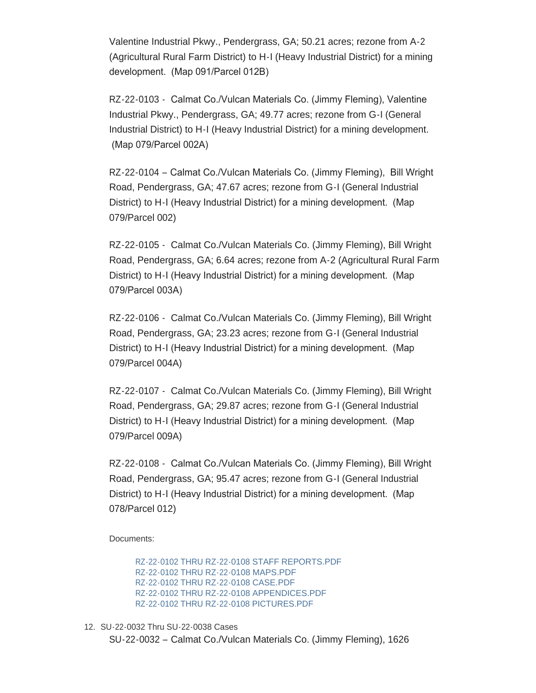Valentine Industrial Pkwy., Pendergrass, GA; 50.21 acres; rezone from A-2 (Agricultural Rural Farm District) to H-I (Heavy Industrial District) for a mining development. (Map 091/Parcel 012B)

RZ-22-0103 - Calmat Co./Vulcan Materials Co. (Jimmy Fleming), Valentine Industrial Pkwy., Pendergrass, GA; 49.77 acres; rezone from G-I (General Industrial District) to H-I (Heavy Industrial District) for a mining development. (Map 079/Parcel 002A)

RZ-22-0104 – Calmat Co./Vulcan Materials Co. (Jimmy Fleming), Bill Wright Road, Pendergrass, GA; 47.67 acres; rezone from G-I (General Industrial District) to H-I (Heavy Industrial District) for a mining development. (Map 079/Parcel 002)

RZ-22-0105 - Calmat Co./Vulcan Materials Co. (Jimmy Fleming), Bill Wright Road, Pendergrass, GA; 6.64 acres; rezone from A-2 (Agricultural Rural Farm District) to H-I (Heavy Industrial District) for a mining development. (Map 079/Parcel 003A)

RZ-22-0106 - Calmat Co./Vulcan Materials Co. (Jimmy Fleming), Bill Wright Road, Pendergrass, GA; 23.23 acres; rezone from G-I (General Industrial District) to H-I (Heavy Industrial District) for a mining development. (Map 079/Parcel 004A)

RZ-22-0107 - Calmat Co./Vulcan Materials Co. (Jimmy Fleming), Bill Wright Road, Pendergrass, GA; 29.87 acres; rezone from G-I (General Industrial District) to H-I (Heavy Industrial District) for a mining development. (Map 079/Parcel 009A)

RZ-22-0108 - Calmat Co./Vulcan Materials Co. (Jimmy Fleming), Bill Wright Road, Pendergrass, GA; 95.47 acres; rezone from G-I (General Industrial District) to H-I (Heavy Industrial District) for a mining development. (Map 078/Parcel 012)

Documents:

[RZ-22-0102 THRU RZ-22-0108 STAFF REPORTS.PDF](http://www.jacksoncountygov.com/AgendaCenter/ViewFile/Item/1719?fileID=12362) [RZ-22-0102 THRU RZ-22-0108 MAPS.PDF](http://www.jacksoncountygov.com/AgendaCenter/ViewFile/Item/1719?fileID=12363) [RZ-22-0102 THRU RZ-22-0108 CASE.PDF](http://www.jacksoncountygov.com/AgendaCenter/ViewFile/Item/1719?fileID=12364) [RZ-22-0102 THRU RZ-22-0108 APPENDICES.PDF](http://www.jacksoncountygov.com/AgendaCenter/ViewFile/Item/1719?fileID=12365) [RZ-22-0102 THRU RZ-22-0108 PICTURES.PDF](http://www.jacksoncountygov.com/AgendaCenter/ViewFile/Item/1719?fileID=12366)

12. SU-22-0032 Thru SU-22-0038 Cases SU-22-0032 – Calmat Co./Vulcan Materials Co. (Jimmy Fleming), 1626